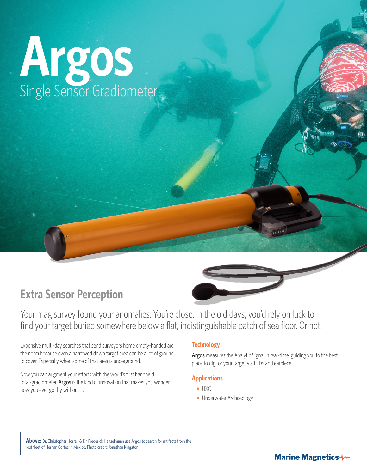# **Argos** Single Sensor Gradiometer

### **Extra Sensor Perception**

Your mag survey found your anomalies. You're close. In the old days, you'd rely on luck to find your target buried somewhere below a flat, indistinguishable patch of sea floor. Or not.

Expensive multi-day searches that send surveyors home empty-handed are the norm because even a narrowed down target area can be a lot of ground to cover. Especially when some of that area is underground.

Now you can augment your efforts with the world's first handheld total-gradiometer. Argos is the kind of innovation that makes you wonder how you ever got by without it.

#### **Technology**

Argos measures the Analytic Signal in real-time, guiding you to the best place to dig for your target via LEDs and earpiece.

#### **Applications**

- **•** UXO
- **•** Underwater Archaeology

**Above:** Dr. Christopher Horrell & Dr. Frederick Hanselmann use Argos to search for artifacts from the lost fleet of Hernan Cortes in Mexico. Photo credit: Jonathan Kingston

#### **Marine Magnetics**